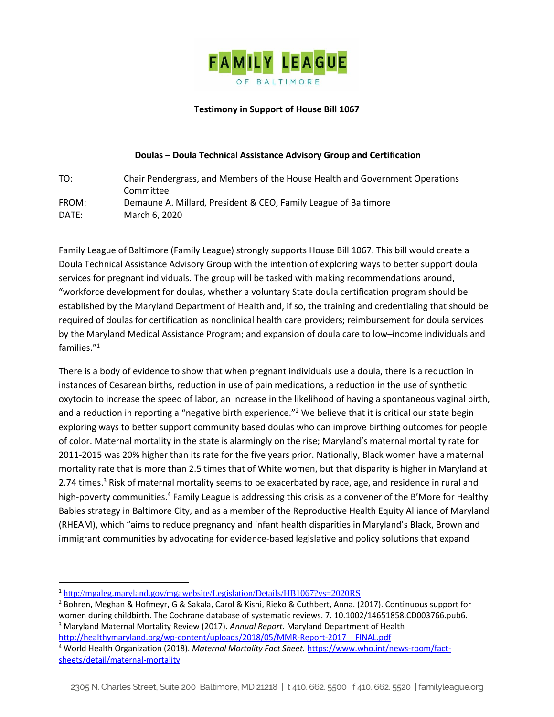

## **Testimony in Support of House Bill 1067**

## **Doulas – Doula Technical Assistance Advisory Group and Certification**

TO: Chair Pendergrass, and Members of the House Health and Government Operations Committee FROM: Demaune A. Millard, President & CEO, Family League of Baltimore DATE: March 6, 2020

Family League of Baltimore (Family League) strongly supports House Bill 1067. This bill would create a Doula Technical Assistance Advisory Group with the intention of exploring ways to better support doula services for pregnant individuals. The group will be tasked with making recommendations around, "workforce development for doulas, whether a voluntary State doula certification program should be established by the Maryland Department of Health and, if so, the training and credentialing that should be required of doulas for certification as nonclinical health care providers; reimbursement for doula services by the Maryland Medical Assistance Program; and expansion of doula care to low–income individuals and families."<sup>1</sup>

There is a body of evidence to show that when pregnant individuals use a doula, there is a reduction in instances of Cesarean births, reduction in use of pain medications, a reduction in the use of synthetic oxytocin to increase the speed of labor, an increase in the likelihood of having a spontaneous vaginal birth, and a reduction in reporting a "negative birth experience."<sup>2</sup> We believe that it is critical our state begin exploring ways to better support community based doulas who can improve birthing outcomes for people of color. Maternal mortality in the state is alarmingly on the rise; Maryland's maternal mortality rate for 2011-2015 was 20% higher than its rate for the five years prior. Nationally, Black women have a maternal mortality rate that is more than 2.5 times that of White women, but that disparity is higher in Maryland at 2.74 times.<sup>3</sup> Risk of maternal mortality seems to be exacerbated by race, age, and residence in rural and high-poverty communities.<sup>4</sup> Family League is addressing this crisis as a convener of the B'More for Healthy Babies strategy in Baltimore City, and as a member of the Reproductive Health Equity Alliance of Maryland (RHEAM), which "aims to reduce pregnancy and infant health disparities in Maryland's Black, Brown and immigrant communities by advocating for evidence-based legislative and policy solutions that expand

<sup>1</sup> <http://mgaleg.maryland.gov/mgawebsite/Legislation/Details/HB1067?ys=2020RS>

<sup>2</sup> Bohren, Meghan & Hofmeyr, G & Sakala, Carol & Kishi, Rieko & Cuthbert, Anna. (2017). Continuous support for women during childbirth. The Cochrane database of systematic reviews. 7. 10.1002/14651858.CD003766.pub6. <sup>3</sup> Maryland Maternal Mortality Review (2017). *Annual Report*. Maryland Department of Health [http://healthymaryland.org/wp-content/uploads/2018/05/MMR-Report-2017\\_\\_FINAL.pdf](http://healthymaryland.org/wp-content/uploads/2018/05/MMR-Report-2017__FINAL.pdf)

<sup>4</sup> World Health Organization (2018). *Maternal Mortality Fact Sheet.* [https://www.who.int/news-room/fact](https://www.who.int/news-room/fact-sheets/detail/maternal-mortality)[sheets/detail/maternal-mortality](https://www.who.int/news-room/fact-sheets/detail/maternal-mortality)